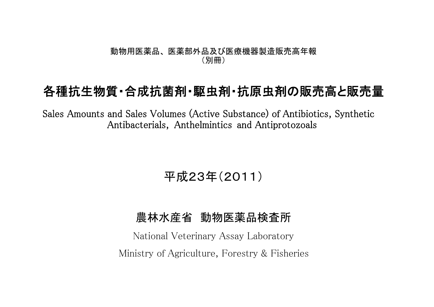## 動物用医薬品、 医薬部外品及び医療機器製造販売高年報 (別冊)

## 各種抗生物質・合成抗菌剤・駆虫剤・抗原虫剤の販売高と販売量

Sales Amounts and Sales Volumes (Active Substance) of Antibiotics, Synthetic Antibacterials, Anthelmintics and Antiprotozoals

平成23年(2011)

## 農林水産省 動物医薬品検査所

National Veterinary Assay Laboratory Ministry of Agriculture, Forestry & Fisheries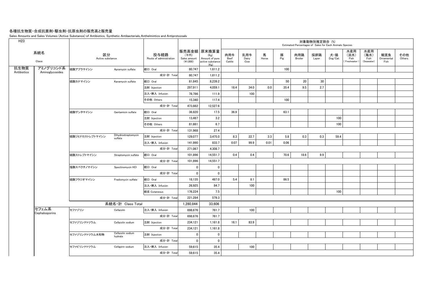## 各種抗生物質・合成抗菌剤・駆虫剤・抗原虫剤の販売高と販売量

Sales Amounts and Sales Volumes (Active Substance) of Antibiotics, Synthetic Antibacterials, Anthelmintics and Antiprotozoals

|                              |                        |                                |                                 |                                    |                                                                   |                       |                     |            |          |                | 対象動物別推定割合 (%)<br>Estimated Percentages of Sales for Each Animals Species |                |                                   |                                   |                           |               |
|------------------------------|------------------------|--------------------------------|---------------------------------|------------------------------------|-------------------------------------------------------------------|-----------------------|---------------------|------------|----------|----------------|--------------------------------------------------------------------------|----------------|-----------------------------------|-----------------------------------|---------------------------|---------------|
| 系統名<br>Class                 | 区分<br>Active substance |                                | 投与経路<br>Route of administration | (千円)<br>Sales amount<br>$(*1,000)$ | 販売高金額 原末換算量<br>(Kg)<br>Amount of pure<br>active substance<br>(Kg) | 肉用牛<br>Beef<br>Cattle | 乳用牛<br>Dairy<br>Cow | 馬<br>Horse | 豚<br>Pig | 肉用鶏<br>Broiler | 採卵鶏<br>Layer                                                             | 犬・猫<br>Dog/Cat | 水産用<br>(淡水)<br>Fish<br>Freshwater | 水産用<br>(海水)<br>Fish<br>(Seawater) | 観賞魚<br>Ornamental<br>Fish | その他<br>Others |
| アミノグリコシド系<br>Aminoglycosides | 硫酸アプラマイシン              | Apramycin sulfate              | 経口 Oral                         | 80.747                             | 1,611.2                                                           |                       |                     |            | 100      |                |                                                                          |                |                                   |                                   |                           |               |
|                              |                        |                                | 成分·計 Total                      | 80,747                             | 1,611.2                                                           |                       |                     |            |          |                |                                                                          |                |                                   |                                   |                           |               |
|                              | 硫酸カナマイシン               | Kanamycin sulfate              | 経口 Oral                         | 81,845                             | 8,239.2                                                           |                       |                     |            | 50       | 20             | 30                                                                       |                |                                   |                                   |                           |               |
|                              |                        |                                | 注射 Injection                    | 297.911                            | 4.059.1                                                           | 18.4                  | 34.0                | 0.0        | 35.4     | 9.5            | 2.7                                                                      |                |                                   |                                   |                           |               |
|                              |                        |                                | 注入·挿入 Infusion                  | 78.786                             | 111.9                                                             |                       | 100                 |            |          |                |                                                                          |                |                                   |                                   |                           |               |
|                              |                        |                                | その他 Others                      | 15,340                             | 117.4                                                             |                       |                     |            | 100      |                |                                                                          |                |                                   |                                   |                           |               |
|                              |                        |                                | 成分·計 Total                      | 473.882                            | 12,527.6                                                          |                       |                     |            |          |                |                                                                          |                |                                   |                                   |                           |               |
|                              | 硫酸ゲンタマイシン              | Gentamicin sulfate             | 経口 Oral                         | 36,820                             | 17.5                                                              | 36.9                  |                     |            | 63.1     |                |                                                                          |                |                                   |                                   |                           |               |
|                              |                        |                                | 注射 Injection                    | 13,487                             | 3.2                                                               |                       |                     |            |          |                |                                                                          | 100            |                                   |                                   |                           |               |
|                              |                        |                                | その他 Others                      | 81,661                             | 6.7                                                               |                       |                     |            |          |                |                                                                          | 100            |                                   |                                   |                           |               |
|                              |                        |                                | 成分·計 Total                      | 131,968                            | 27.4                                                              |                       |                     |            |          |                |                                                                          |                |                                   |                                   |                           |               |
|                              | 硫酸ジヒドロストレプトマイシン        | Dihydrostreptomycin<br>sulfate | 注射 Injection                    | 129,077                            | 3,475.0                                                           | 8.3                   | 22.7                | 3.3        | 5.8      | 0.3            | 0.3                                                                      | 59.4           |                                   |                                   |                           |               |
|                              |                        |                                | 注入·挿入 Infusion                  | 141,990                            | 833.7                                                             | 0.07                  | 99.9                | 0.01       | 0.06     |                |                                                                          |                |                                   |                                   |                           |               |
|                              |                        |                                | 成分·計 Total                      | 271,067                            | 4,308.7                                                           |                       |                     |            |          |                |                                                                          |                |                                   |                                   |                           |               |
|                              | 硫酸ストレプトマイシン            | Streptomycin sulfate           | 経口 Oral                         | 101.896                            | 14.551.7                                                          | 0.4                   | 0.4                 |            | 70.6     | 18.6           | 9.9                                                                      |                |                                   |                                   |                           |               |
|                              |                        |                                | 成分·計 Total                      | 101,896                            | 14,551.7                                                          |                       |                     |            |          |                |                                                                          |                |                                   |                                   |                           |               |
|                              | 塩酸スペクチノマイシン            | Spectinomycin HCI              | 経口 Oral                         | 0                                  | 0                                                                 |                       |                     |            |          |                |                                                                          |                |                                   |                                   |                           |               |
|                              |                        |                                | 成分·計 Total                      | $\overline{\mathbf{0}}$            | 0                                                                 |                       |                     |            |          |                |                                                                          |                |                                   |                                   |                           |               |
|                              | 硫酸フラジオマイシン             | Fradiomycin sulfate            | 経口 Oral                         | 18,135                             | 487.0                                                             | 5.4                   | 8.1                 |            | 86.5     |                |                                                                          |                |                                   |                                   |                           |               |
|                              |                        |                                | 注入·挿入 Infusion                  | 26,925                             | 84.7                                                              |                       | 100                 |            |          |                |                                                                          |                |                                   |                                   |                           |               |
|                              |                        |                                | 経皮 Cutaneous                    | 176.224                            | 7.5                                                               |                       |                     |            |          |                |                                                                          | 100            |                                   |                                   |                           |               |
|                              |                        |                                | 成分·計 Total                      | 221,284                            | 579.3                                                             |                       |                     |            |          |                |                                                                          |                |                                   |                                   |                           |               |
|                              |                        | 系統名·計 Class Total              |                                 | 1,280,844                          | 33,606                                                            |                       |                     |            |          |                |                                                                          |                |                                   |                                   |                           |               |
| セフェム系                        | セファゾリン                 | Cefazolin                      | 注入·挿入 Infusion                  | 698,676                            | 761.7                                                             |                       | 100                 |            |          |                |                                                                          |                |                                   |                                   |                           |               |
| Cephalosporins               |                        |                                | 成分·計 Total                      | 698,676                            | 761.7                                                             |                       |                     |            |          |                |                                                                          |                |                                   |                                   |                           |               |
|                              | セファゾリンナトリウム            | Cefazolin sodium               | 注射 Injection                    | 234,121                            | 1,161.8                                                           | 16.1                  | 83.9                |            |          |                |                                                                          |                |                                   |                                   |                           |               |
|                              |                        |                                | 成分·計 Total                      | 234,121                            | 1,161.8                                                           |                       |                     |            |          |                |                                                                          |                |                                   |                                   |                           |               |
|                              | セファゾリンナトリウム水和物         | Cefazolin sodium<br>hydrate    | 注射 Injection                    | 0                                  | $\mathbf{0}$                                                      |                       |                     |            |          |                |                                                                          |                |                                   |                                   |                           |               |
|                              |                        |                                | 成分·計 Total                      | $\overline{\mathbf{0}}$            | $\overline{0}$                                                    |                       |                     |            |          |                |                                                                          |                |                                   |                                   |                           |               |
|                              | セファピリンナトリウム            | Cefapirin sodium               | 注入·挿入 Infusion                  | 59.615                             | 35.4                                                              |                       | 100                 |            |          |                |                                                                          |                |                                   |                                   |                           |               |
|                              |                        |                                | 成分·計 Total                      | 59,615                             | 35.4                                                              |                       |                     |            |          |                |                                                                          |                |                                   |                                   |                           |               |
|                              |                        |                                |                                 |                                    |                                                                   |                       |                     |            |          |                |                                                                          |                |                                   |                                   |                           |               |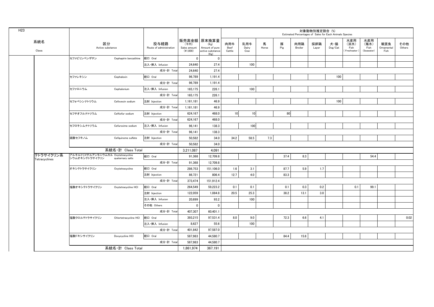|               |                                                     |                       |                                 |                                  |                                                                   |                       |                     |            |          | Estimated Percentages of Sales for Each Animals Species | 対象動物別推定割合 (%) |                |                                     |                                   |                           |               |
|---------------|-----------------------------------------------------|-----------------------|---------------------------------|----------------------------------|-------------------------------------------------------------------|-----------------------|---------------------|------------|----------|---------------------------------------------------------|---------------|----------------|-------------------------------------|-----------------------------------|---------------------------|---------------|
| 系統名<br>Class  | 区分<br>Active substance                              |                       | 投与経路<br>Route of administration | (千円)<br>Sales amount<br>(41,000) | 販売高金額 原末換算量<br>(Kg)<br>Amount of pure<br>active substance<br>(Kg) | 肉用牛<br>Beef<br>Cattle | 乳用牛<br>Dairy<br>Cow | 馬<br>Horse | 豚<br>Pig | 肉用鶏<br><b>Broiler</b>                                   | 採卵鶏<br>Layer  | 犬・猫<br>Dog/Cat | 水産用<br>(淡水)<br>Fish<br>(Freshwater) | 水産用<br>(海水)<br>Fish<br>(Seawater) | 観賞魚<br>Ornamental<br>Fish | その他<br>Others |
|               | セファピリンベンザチン                                         | Cephapirin benzathine | 経口 Oral                         | $\mathbf 0$                      | $\pmb{0}$                                                         |                       |                     |            |          |                                                         |               |                |                                     |                                   |                           |               |
|               |                                                     |                       | 注入·挿入 Infusion                  | 24,640                           | 27.4                                                              |                       | 100                 |            |          |                                                         |               |                |                                     |                                   |                           |               |
|               |                                                     |                       | 成分·計 Total                      | 24,640                           | 27.4                                                              |                       |                     |            |          |                                                         |               |                |                                     |                                   |                           |               |
|               | セファレキシン                                             | Cephalexin            | 経口 Oral                         | 96,789                           | 1,191.4                                                           |                       |                     |            |          |                                                         |               | 100            |                                     |                                   |                           |               |
|               |                                                     |                       | 成分·計 Total                      | 96,789                           | 1,191.4                                                           |                       |                     |            |          |                                                         |               |                |                                     |                                   |                           |               |
|               | セファロニウム                                             | Cephalonium           | 注入·挿入 Infusion                  | 165,175                          | 226.1                                                             |                       | 100                 |            |          |                                                         |               |                |                                     |                                   |                           |               |
|               |                                                     |                       | 成分·計 Total                      | 165,175                          | 226.1                                                             |                       |                     |            |          |                                                         |               |                |                                     |                                   |                           |               |
|               | セフォベシンナトリウム                                         | Cefovecin sodium      | 注射 Injection                    | 1.161.181                        | 46.9                                                              |                       |                     |            |          |                                                         |               | 100            |                                     |                                   |                           |               |
|               |                                                     |                       | 成分·計 Total                      | 1,161,181                        | 46.9                                                              |                       |                     |            |          |                                                         |               |                |                                     |                                   |                           |               |
|               | セフチオフルナトリウム                                         | Ceftiofur sodium      | 注射 Injection                    | 624,167                          | 468.0                                                             | 10 <sup>1</sup>       | 10                  |            | 80       |                                                         |               |                |                                     |                                   |                           |               |
|               |                                                     |                       | 成分·計 Total                      | 624,167                          | 468.0                                                             |                       |                     |            |          |                                                         |               |                |                                     |                                   |                           |               |
|               | セフロキシムナトリウム                                         | Cefuroxime sodium     | 注入·挿入 Infusion                  | 96,141                           | 138.3                                                             |                       | 100                 |            |          |                                                         |               |                |                                     |                                   |                           |               |
|               |                                                     |                       | 成分·計 Total                      | 96,141                           | 138.3                                                             |                       |                     |            |          |                                                         |               |                |                                     |                                   |                           |               |
|               | 硫酸セフキノム                                             | Cefquinome sulfate    | 注射 Injection                    | 50,582                           | 34.0                                                              | 34.2                  | 58.5                | 7.3        |          |                                                         |               |                |                                     |                                   |                           |               |
|               |                                                     |                       | 成分·計 Total                      | 50,582                           | 34.0                                                              |                       |                     |            |          |                                                         |               |                |                                     |                                   |                           |               |
|               |                                                     | 系統名·計 Class Total     |                                 | 3.211.087                        | 4.091                                                             |                       |                     |            |          |                                                         |               |                |                                     |                                   |                           |               |
| テトラサイクリン系     | アルキルトリメチルアンモニウムカル Oxytetracycline<br>シウムオキシテトラサイクリン | quaternary salts      | 経口 Oral                         | 91.368                           | 12.709.8                                                          |                       |                     |            | 37.4     | 8.3                                                     |               |                |                                     | 54.4                              |                           |               |
| Tetracyclines |                                                     |                       | 成分·計 Total                      | 91.368                           | 12.709.8                                                          |                       |                     |            |          |                                                         |               |                |                                     |                                   |                           |               |
|               | オキシテトラサイクリン                                         | Oxytetracycline       | 経口 Oral                         | 286.753                          | 151.106.0                                                         | 1.6                   | 3.1                 |            | 87.7     | 5.9                                                     | 1.7           |                |                                     |                                   |                           |               |
|               |                                                     |                       | 注射 Injection                    | 86,721                           | 806.4                                                             | 12.7                  | 4.0                 |            | 83.3     |                                                         |               |                |                                     |                                   |                           |               |
|               |                                                     |                       | 成分·計 Total                      | 373,474                          | 151,912.4                                                         |                       |                     |            |          |                                                         |               |                |                                     |                                   |                           |               |
|               | 塩酸オキシテトラサイクリン                                       | Oxytetracycline HCI   | 経口 Oral                         | 264,549                          | 59,223.2                                                          | 0.1                   | 0.1                 |            | 0.1      | 0.3                                                     | 0.2           |                | 0.1                                 | 99.1                              |                           |               |
|               |                                                     |                       | 注射 Injection                    | 122.059                          | 1,084.8                                                           | 20.5                  | 25.3                |            | 38.2     | 13.1                                                    | 3.0           |                |                                     |                                   |                           |               |
|               |                                                     |                       | 注入·挿入 Infusion                  | 20,699                           | 93.2                                                              |                       | 100                 |            |          |                                                         |               |                |                                     |                                   |                           |               |
|               |                                                     |                       | その他 Others                      | $\mathbf{0}$                     | $\mathbf{0}$                                                      |                       |                     |            |          |                                                         |               |                |                                     |                                   |                           |               |
|               |                                                     |                       | 成分·計 Total                      | 407,307                          | 60,401.1                                                          |                       |                     |            |          |                                                         |               |                |                                     |                                   |                           |               |
|               | 塩酸クロルテトラサイクリン                                       | Chlortetracycline HCl | 経口 Oral                         | 393,215                          | 97,531.4                                                          | 8.0                   | 9.0                 |            | 72.3     | 6.6                                                     | 4.1           |                |                                     |                                   |                           | 0.02          |
|               |                                                     |                       | 注入·挿入 Infusion                  | 8.627                            | 55.6                                                              |                       | 100                 |            |          |                                                         |               |                |                                     |                                   |                           |               |
|               |                                                     |                       | 成分·計 Total                      | 401,842                          | 97,587.0                                                          |                       |                     |            |          |                                                         |               |                |                                     |                                   |                           |               |
|               | 塩酸ドキシサイクリン                                          | Doxycycline HCI       | 経口 Oral                         | 587,983                          | 44,580.7                                                          |                       |                     |            | 84.4     | 15.6                                                    |               |                |                                     |                                   |                           |               |
|               |                                                     |                       | 成分·計 Total                      | 587,983                          | 44,580.7                                                          |                       |                     |            |          |                                                         |               |                |                                     |                                   |                           |               |
|               |                                                     | 系統名·計 Class Total     |                                 | 1,861,974                        | 367,191                                                           |                       |                     |            |          |                                                         |               |                |                                     |                                   |                           |               |
|               |                                                     |                       |                                 |                                  |                                                                   |                       |                     |            |          |                                                         |               |                |                                     |                                   |                           |               |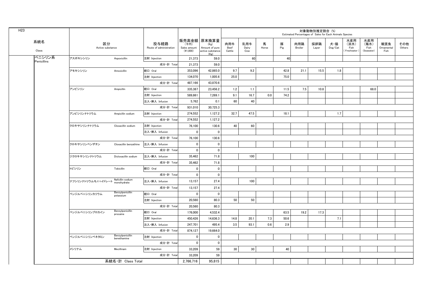| H <sub>23</sub> |                       |                        |                                 |                                 |                                  |                                                                   |                       |                     |            |          |                | 対象動物別推定割合 (%)<br>Estimated Percentages of Sales for Each Animals Species |                |                                   |                                   |                           |               |
|-----------------|-----------------------|------------------------|---------------------------------|---------------------------------|----------------------------------|-------------------------------------------------------------------|-----------------------|---------------------|------------|----------|----------------|--------------------------------------------------------------------------|----------------|-----------------------------------|-----------------------------------|---------------------------|---------------|
|                 | 系統名<br>Class          | 区分<br>Active substance |                                 | 投与経路<br>Route of administration | (千円)<br>Sales amount<br>(41,000) | 販売高金額 原末換算量<br>(Kg)<br>Amount of pure<br>active substance<br>(Kg) | 肉用牛<br>Beef<br>Cattle | 乳用牛<br>Dairy<br>Cow | 馬<br>Horse | 豚<br>Pig | 肉用鶏<br>Broiler | 採卵鶏<br>Layer                                                             | 犬・猫<br>Dog/Cat | 水産用<br>(淡水)<br>Fish<br>Freshwater | 水産用<br>(海水)<br>Fish<br>(Seawater) | 観賞魚<br>Ornamental<br>Fish | その他<br>Others |
|                 | ペニシリン系<br>Penicillins | アスポキシシリン               | Aspoxicillin                    | 注射 Injection                    | 21,373                           | 59.0                                                              |                       | 60                  |            | 40       |                |                                                                          |                |                                   |                                   |                           |               |
|                 |                       |                        |                                 | 成分·計 Total                      | 21.373                           | 59.0                                                              |                       |                     |            |          |                |                                                                          |                |                                   |                                   |                           |               |
|                 |                       | アモキシシリン                | Amoxicillin                     | 経口 Oral                         | 353,096                          | 42,865.0                                                          | 9.7                   | 9.2                 |            | 42.8     | 21.1           | 15.5                                                                     | 1.8            |                                   |                                   |                           |               |
|                 |                       |                        |                                 | 注射 Injection                    | 134,070                          | 1,005.6                                                           | 25.0                  |                     |            | 75.0     |                |                                                                          |                |                                   |                                   |                           |               |
|                 |                       |                        |                                 | 成分·計 Total                      | 487,166                          | 43,870.6                                                          |                       |                     |            |          |                |                                                                          |                |                                   |                                   |                           |               |
|                 |                       | アンピシリン                 | Ampicillin                      | 経口 Oral                         | 335,387                          | 23,456.2                                                          | 1.2                   | 1.1                 |            | 11.5     | 7.5            | 10.8                                                                     |                |                                   | 68.0                              |                           |               |
|                 |                       |                        |                                 | 注射 Injection                    | 589,861                          | 7,269.1                                                           | 9.1                   | 16.7                | 0.0        | 74.2     |                |                                                                          |                |                                   |                                   |                           |               |
|                 |                       |                        |                                 | 注入·挿入 Infusion                  | 5,762                            | 0.1                                                               | 60                    | 40                  |            |          |                |                                                                          |                |                                   |                                   |                           |               |
|                 |                       |                        |                                 | 成分·計 Total                      | 931,010                          | 30,725.3                                                          |                       |                     |            |          |                |                                                                          |                |                                   |                                   |                           |               |
|                 |                       | アンピシリンナトリウム            | Ampicillin sodium               | 注射 Injection                    | 274,552                          | 1,127.2                                                           | 32.7                  | 47.5                |            | 18.1     |                |                                                                          | 1.7            |                                   |                                   |                           |               |
|                 |                       |                        |                                 | 成分·計 Total                      | 274,552                          | 1,127.2                                                           |                       |                     |            |          |                |                                                                          |                |                                   |                                   |                           |               |
|                 |                       | クロキサシリンナトリウム           | Cloxacillin sodium              | 注射 Injection                    | 76,100                           | 130.6                                                             | 40                    | 60                  |            |          |                |                                                                          |                |                                   |                                   |                           |               |
|                 |                       |                        |                                 | 注入·挿入 Infusion                  | $\overline{\mathbf{0}}$          | $\overline{\mathbf{0}}$                                           |                       |                     |            |          |                |                                                                          |                |                                   |                                   |                           |               |
|                 |                       |                        |                                 | 成分·計 Total                      | 76,100                           | 130.6                                                             |                       |                     |            |          |                |                                                                          |                |                                   |                                   |                           |               |
|                 |                       | クロキサシリンベンザチン           | Cloxacillin benzathine          | 注入·挿入 Infusion                  | $\overline{\mathbf{0}}$          | $\mathbf 0$                                                       |                       |                     |            |          |                |                                                                          |                |                                   |                                   |                           |               |
|                 |                       |                        |                                 | 成分·計 Total                      | $\pmb{0}$                        | $\pmb{0}$                                                         |                       |                     |            |          |                |                                                                          |                |                                   |                                   |                           |               |
|                 |                       | ジクロキサシリンナトリウム          | Dicloxacillin sodium            | 注入·挿入 Infusion                  | 35,462                           | 71.8                                                              |                       | 100                 |            |          |                |                                                                          |                |                                   |                                   |                           |               |
|                 |                       |                        |                                 | 成分·計 Total                      | 35,462                           | 71.8                                                              |                       |                     |            |          |                |                                                                          |                |                                   |                                   |                           |               |
|                 |                       | トビシリン                  | Tobicillin                      | 経口 Oral                         | $\mathbf 0$                      | $\mathbf 0$                                                       |                       |                     |            |          |                |                                                                          |                |                                   |                                   |                           |               |
|                 |                       |                        |                                 | 成分·計 Total                      | $\mathbf{0}$                     | $\mathbf 0$                                                       |                       |                     |            |          |                |                                                                          |                |                                   |                                   |                           |               |
|                 |                       | ナフシリンナトリウムモノハイドレート     | Nafcillin sodium<br>monohydrate | 注入·挿入 Infusion                  | 13.157                           | 27.4                                                              |                       | 100                 |            |          |                |                                                                          |                |                                   |                                   |                           |               |
|                 |                       |                        |                                 | 成分·計 Total                      | 13,157                           | 27.4                                                              |                       |                     |            |          |                |                                                                          |                |                                   |                                   |                           |               |
|                 |                       | ベンジルペニシリンカリウム          | Benzylpenicillin<br>potassium   | 経口 Oral                         | $\overline{\mathbf{0}}$          | $\mathbf 0$                                                       |                       |                     |            |          |                |                                                                          |                |                                   |                                   |                           |               |
|                 |                       |                        |                                 | 注射 Injection                    | 20,560                           | 80.3                                                              | 50                    | 50                  |            |          |                |                                                                          |                |                                   |                                   |                           |               |
|                 |                       |                        |                                 | 成分·計 Total                      | 20,560                           | 80.3                                                              |                       |                     |            |          |                |                                                                          |                |                                   |                                   |                           |               |
|                 |                       | ベンジルペニシリンプロカイン         | Benzylpenicillin<br>procaine    | 経口 Oral                         | 176,000                          | 4,532.4                                                           |                       |                     |            | 63.5     | 19.2           | 17.3                                                                     |                |                                   |                                   |                           |               |
|                 |                       |                        |                                 | 注射 Injection                    | 450,426                          | 14,636.3                                                          | 14.8                  | 20.1                | 7.3        | 50.6     |                |                                                                          | 7.1            |                                   |                                   |                           |               |
|                 |                       |                        |                                 | 注入·挿入 Infusion                  | 247,701                          | 495.4                                                             | 3.5                   | 93.1                | 0.6        | 2.9      |                |                                                                          |                |                                   |                                   |                           |               |
|                 |                       |                        |                                 | 成分·計 Total                      | 874,127                          | 19,664.0                                                          |                       |                     |            |          |                |                                                                          |                |                                   |                                   |                           |               |
|                 |                       | ベンジルペニシリンベネタミン         | Benzylpenicillin<br>benethamine | 注射 Injection                    | $\mathbf 0$                      | $\mathbf 0$                                                       |                       |                     |            |          |                |                                                                          |                |                                   |                                   |                           |               |
|                 |                       |                        |                                 | 成分·計 Total                      | $\mathbf{0}$                     | $\mathbf{0}$                                                      |                       |                     |            |          |                |                                                                          |                |                                   |                                   |                           |               |
|                 |                       | メシリナム                  | Mecillinam                      | 注射 Injection                    | 33,209                           | 59                                                                | 30                    | 30                  |            | 40       |                |                                                                          |                |                                   |                                   |                           |               |
|                 |                       |                        |                                 | 成分·計 Total                      | 33,209                           | 59                                                                |                       |                     |            |          |                |                                                                          |                |                                   |                                   |                           |               |
|                 |                       |                        | 系統名·計 Class Total               |                                 | 2,766,716                        | 95.815                                                            |                       |                     |            |          |                |                                                                          |                |                                   |                                   |                           |               |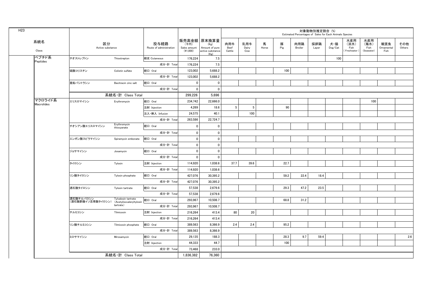| H <sub>23</sub> |                       |                                |                                                 |                                 |                                    |                                                                   |                       |                     |            |          |                | 対象動物別推定割合 (%)<br>Estimated Percentages of Sales for Each Animals Species |                                    |                                   |                                   |                           |               |
|-----------------|-----------------------|--------------------------------|-------------------------------------------------|---------------------------------|------------------------------------|-------------------------------------------------------------------|-----------------------|---------------------|------------|----------|----------------|--------------------------------------------------------------------------|------------------------------------|-----------------------------------|-----------------------------------|---------------------------|---------------|
|                 | 系統名<br>Class          | 区分<br>Active substance         |                                                 | 投与経路<br>Route of administration | (千円)<br>Sales amount<br>$(*1,000)$ | 販売高金額 原末換算量<br>(Kg)<br>Amount of pure<br>active substance<br>(Kg) | 肉用牛<br>Beef<br>Cattle | 乳用牛<br>Dairy<br>Cow | 馬<br>Horse | 豚<br>Pig | 肉用鶏<br>Broiler | 採卵鶏<br>Layer                                                             | 犬・猫<br>$\mathsf{Dog}/\mathsf{Cat}$ | 水産用<br>(淡水)<br>Fish<br>Freshwater | 水産用<br>(海水)<br>Fish<br>(Seawater) | 観賞魚<br>Ornamental<br>Fish | その他<br>Others |
|                 | ペプチド系                 | チオストレプトン                       | Thiostrepton                                    | 経皮 Cutaneous                    | 176,224                            | 7.5                                                               |                       |                     |            |          |                |                                                                          | 100                                |                                   |                                   |                           |               |
|                 | Peptides              |                                |                                                 | 成分·計 Total                      | 176,224                            | 7.5                                                               |                       |                     |            |          |                |                                                                          |                                    |                                   |                                   |                           |               |
|                 |                       | 硫酸コリスチン                        | Colistin sulfate                                | 経口 Oral                         | 123,002                            | 5,688.2                                                           |                       |                     |            | 100      |                |                                                                          |                                    |                                   |                                   |                           |               |
|                 |                       |                                |                                                 | 成分·計 Total                      | 123,002                            | 5,688.2                                                           |                       |                     |            |          |                |                                                                          |                                    |                                   |                                   |                           |               |
|                 |                       | 亜鉛バシトラシン                       | Bacitracin zinc salt                            | 経口 Oral                         | $\mathbf 0$                        | $\mathbf 0$                                                       |                       |                     |            |          |                |                                                                          |                                    |                                   |                                   |                           |               |
|                 |                       |                                |                                                 | 成分·計 Total                      | $\mathbf 0$                        | $\mathbf 0$                                                       |                       |                     |            |          |                |                                                                          |                                    |                                   |                                   |                           |               |
|                 |                       |                                | 系統名·計 Class Total                               |                                 | 299.226                            | 5.696                                                             |                       |                     |            |          |                |                                                                          |                                    |                                   |                                   |                           |               |
|                 | マクロライド系<br>Macrolides | エリスロマイシン                       | Erythromycin                                    | 経口 Oral                         | 234,742                            | 22,666.0                                                          |                       |                     |            |          |                |                                                                          |                                    |                                   | 100                               |                           |               |
|                 |                       |                                |                                                 | 注射 Injection                    | 4,269                              | 18.6                                                              | 5                     | 5                   |            | 90       |                |                                                                          |                                    |                                   |                                   |                           |               |
|                 |                       |                                |                                                 | 注入·挿入 Infusion                  | 24,575                             | 40.1                                                              |                       | 100                 |            |          |                |                                                                          |                                    |                                   |                                   |                           |               |
|                 |                       | チオシアン酸エリスロマイシン                 |                                                 | 成分·計 Total                      | 263,586                            | 22,724.7                                                          |                       |                     |            |          |                |                                                                          |                                    |                                   |                                   |                           |               |
|                 |                       |                                | Erythromycin<br>thiocyanate                     | 経口 Oral                         | $\mathbf 0$                        | 0                                                                 |                       |                     |            |          |                |                                                                          |                                    |                                   |                                   |                           |               |
|                 |                       |                                |                                                 | 成分·計 Total                      | $\mathbf 0$                        | $\mathbf 0$                                                       |                       |                     |            |          |                |                                                                          |                                    |                                   |                                   |                           |               |
|                 |                       | エンボン酸スピラマイシン                   | Spiramycin embonate                             | 経口 Oral                         | $\mathbf 0$                        | $\mathbf 0$                                                       |                       |                     |            |          |                |                                                                          |                                    |                                   |                                   |                           |               |
|                 |                       |                                |                                                 | 成分·計 Total                      | $\mathbf 0$                        | $\mathbf 0$                                                       |                       |                     |            |          |                |                                                                          |                                    |                                   |                                   |                           |               |
|                 |                       | ジョサマイシン                        | Josamycin                                       | 経口 Oral                         | $\mathbf 0$                        | $\mathbf 0$                                                       |                       |                     |            |          |                |                                                                          |                                    |                                   |                                   |                           |               |
|                 |                       |                                |                                                 | 成分·計 Total                      | $\mathbf 0$                        | $\mathbf 0$                                                       |                       |                     |            |          |                |                                                                          |                                    |                                   |                                   |                           |               |
|                 |                       | タイロシン                          | Tylosin                                         | 注射 Injection                    | 114,920                            | 1,038.6                                                           | 37.7                  | 39.6                |            | 22.7     |                |                                                                          |                                    |                                   |                                   |                           |               |
|                 |                       |                                |                                                 | 成分·計 Total                      | 114,920                            | 1,038.6                                                           |                       |                     |            |          |                |                                                                          |                                    |                                   |                                   |                           |               |
|                 |                       | リン酸タイロシン                       | Tylosin phosphate                               | 経口 Oral                         | 427,076                            | 30,395.2                                                          |                       |                     |            | 59.2     | 22.4           | 18.4                                                                     |                                    |                                   |                                   |                           |               |
|                 |                       |                                |                                                 | 成分·計 Total                      | 427,076                            | 30,395.2                                                          |                       |                     |            |          |                |                                                                          |                                    |                                   |                                   |                           |               |
|                 |                       | 酒石酸タイロシン                       | Tylosin tartrate                                | 経口 Oral                         | 57,538                             | 2,679.6                                                           |                       |                     |            | 29.3     | 47.2           | 23.5                                                                     |                                    |                                   |                                   |                           |               |
|                 |                       |                                |                                                 | 成分·計 Total                      | 57,538                             | 2,679.6                                                           |                       |                     |            |          |                |                                                                          |                                    |                                   |                                   |                           |               |
|                 |                       | 酒石酸チルバロシン<br>(酒石酸酢酸イソ吉草酸タイロシン) | Tylvalosin tartrate<br>(Acetylisovaleryltylosin | 経口 Oral                         | 293,967                            | 10,508.7                                                          |                       |                     |            | 68.8     | 31.2           |                                                                          |                                    |                                   |                                   |                           |               |
|                 |                       |                                | tartrate)                                       | 成分·計 Total                      | 293,967                            | 10,508.7                                                          |                       |                     |            |          |                |                                                                          |                                    |                                   |                                   |                           |               |
|                 |                       | チルミコシン                         | Tilmicosin                                      | 注射 Injection                    | 216,264                            | 413.4                                                             | 80                    | 20                  |            |          |                |                                                                          |                                    |                                   |                                   |                           |               |
|                 |                       |                                |                                                 | 成分·計 Total                      | 216,264                            | 413.4                                                             |                       |                     |            |          |                |                                                                          |                                    |                                   |                                   |                           |               |
|                 |                       | リン酸チルミコシン                      | Tilmicosin phosphate                            | 経口 Oral                         | 389,563                            | 8,366.9                                                           | 2.4                   | 2.4                 |            | 95.2     |                |                                                                          |                                    |                                   |                                   |                           |               |
|                 |                       |                                |                                                 | 成分·計 Total                      | 389,563                            | 8,366.9                                                           |                       |                     |            |          |                |                                                                          |                                    |                                   |                                   |                           |               |
|                 |                       | ミロサマイシン                        | Mirosamycin                                     | 経口 Oral                         | 29,135                             | 188.3                                                             |                       |                     |            | 28.3     | 9.7            | 59.4                                                                     |                                    |                                   |                                   |                           | 2.6           |
|                 |                       |                                |                                                 | 注射 Injection                    | 44,333                             | 44.7                                                              |                       |                     |            | 100      |                |                                                                          |                                    |                                   |                                   |                           |               |
|                 |                       |                                |                                                 | 成分·計 Total                      | 73.468                             | 233.0                                                             |                       |                     |            |          |                |                                                                          |                                    |                                   |                                   |                           |               |
|                 |                       |                                | 系統名·計 Class Total                               |                                 | 1,836,382                          | 76,360                                                            |                       |                     |            |          |                |                                                                          |                                    |                                   |                                   |                           |               |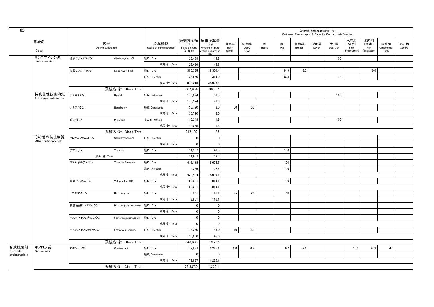| H <sub>23</sub>    |                                    |              |                        |                                 |                                  |                                                                   |                       |                     |            |          |                | 対象動物別推定割合 (%) | Estimated Percentages of Sales for Each Animals Species |                                     |                                   |                           |               |
|--------------------|------------------------------------|--------------|------------------------|---------------------------------|----------------------------------|-------------------------------------------------------------------|-----------------------|---------------------|------------|----------|----------------|---------------|---------------------------------------------------------|-------------------------------------|-----------------------------------|---------------------------|---------------|
|                    | 系統名<br>Class                       |              | 区分<br>Active substance | 投与経路<br>Route of administration | (千円)<br>Sales amount<br>(41,000) | 販売高金額 原末換算量<br>(Kg)<br>Amount of pure<br>active substance<br>(Kg) | 肉用牛<br>Beef<br>Cattle | 乳用牛<br>Dairy<br>Cow | 馬<br>Horse | 豚<br>Pig | 肉用鶏<br>Broiler | 採卵鶏<br>Layer  | 犬・猫<br>$\mathsf{Dog}/\mathsf{Cat}$                      | 水産用<br>(淡水)<br>Fish<br>(Freshwater) | 水産用<br>(海水)<br>Fish<br>(Seawater) | 観賞魚<br>Ornamental<br>Fish | その他<br>Others |
|                    | リンコマイシン系<br>Lincosaminids          | 塩酸クリンダマイシン   | Clindarnycin HCI       | 経口 Oral                         | 23,439                           | 43.8                                                              |                       |                     |            |          |                |               | 100                                                     |                                     |                                   |                           |               |
|                    |                                    |              |                        | 成分·計 Total                      | 23,439                           | 43.8                                                              |                       |                     |            |          |                |               |                                                         |                                     |                                   |                           |               |
|                    |                                    | 塩酸リンコマイシン    | Lincomycin HCI         | 経口 Oral                         | 380.355                          | 38,309.4                                                          |                       |                     |            | 84.9     | 5.2            |               |                                                         |                                     | 9.9                               |                           |               |
|                    |                                    |              |                        | 注射 Injection                    | 133,660                          | 314.0                                                             |                       |                     |            | 98.8     |                |               | 1.2                                                     |                                     |                                   |                           |               |
|                    |                                    |              |                        | 成分·計 Total                      | 514,015                          | 38,623.4                                                          |                       |                     |            |          |                |               |                                                         |                                     |                                   |                           |               |
|                    |                                    |              | 系統名·計 Class Total      |                                 | 537,454                          | 38,667                                                            |                       |                     |            |          |                |               |                                                         |                                     |                                   |                           |               |
|                    | 抗真菌性抗生物質<br>Antifungal antibiotics | ナイスタチン       | Nystatin               | 経皮 Cutaneous                    | 176,224                          | 81.5                                                              |                       |                     |            |          |                |               | 100                                                     |                                     |                                   |                           |               |
|                    |                                    |              |                        | 成分·計 Total                      | 176,224                          | 81.5                                                              |                       |                     |            |          |                |               |                                                         |                                     |                                   |                           |               |
|                    |                                    | ナナフロシン       | Nanafrocin             | 経皮 Cutaneous                    | 30,720                           | 2.0                                                               | 50                    | 50                  |            |          |                |               |                                                         |                                     |                                   |                           |               |
|                    |                                    |              |                        | 成分·計 Total                      | 30,720                           | 2.0                                                               |                       |                     |            |          |                |               |                                                         |                                     |                                   |                           |               |
|                    | ピマリシン                              |              | Pimaricin              | その他 Others                      | 10,248                           | 1.5                                                               |                       |                     |            |          |                |               | 100                                                     |                                     |                                   |                           |               |
|                    |                                    |              |                        | 成分·計 Total                      | 10,248                           | $1.5\,$                                                           |                       |                     |            |          |                |               |                                                         |                                     |                                   |                           |               |
|                    |                                    |              | 系統名·計 Class Total      |                                 | 217,192                          | 85                                                                |                       |                     |            |          |                |               |                                                         |                                     |                                   |                           |               |
|                    | その他の抗生物質<br>Other antibacterials   | クロラムフェニコール   | Chloramphenicol        | 注射 Injection                    | $\mathbf 0$                      | $\mathbf 0$                                                       |                       |                     |            |          |                |               |                                                         |                                     |                                   |                           |               |
|                    |                                    |              |                        | 成分·計 Total                      | $\mathbf 0$                      | $\overline{\mathbf{0}}$                                           |                       |                     |            |          |                |               |                                                         |                                     |                                   |                           |               |
|                    |                                    | チアムリン        | Tiamulin               | 経口 Oral                         | 11,907                           | 47.5                                                              |                       |                     |            | 100      |                |               |                                                         |                                     |                                   |                           |               |
|                    |                                    | 成分·計 Total   |                        |                                 | 11,907                           | 47.5                                                              |                       |                     |            |          |                |               |                                                         |                                     |                                   |                           |               |
|                    |                                    | フマル酸チアムリン    | Tiamulin fumarate      | 経口 Oral                         | 416,118                          | 18,676.5                                                          |                       |                     |            | 100      |                |               |                                                         |                                     |                                   |                           |               |
|                    |                                    |              |                        | 注射 Injection                    | 4,286                            | 22.6                                                              |                       |                     |            | 100      |                |               |                                                         |                                     |                                   |                           |               |
|                    |                                    |              |                        | 成分·計 Total                      | 420,404                          | 18,699.1                                                          |                       |                     |            |          |                |               |                                                         |                                     |                                   |                           |               |
|                    |                                    | 塩酸バルネムリン     | Valnemuline HCI        | 経口 Oral                         | 92.281                           | 814.1                                                             |                       |                     |            | 100      |                |               |                                                         |                                     |                                   |                           |               |
|                    |                                    |              |                        | 成分·計 Total                      | 92,281                           | 814.1                                                             |                       |                     |            |          |                |               |                                                         |                                     |                                   |                           |               |
|                    |                                    | ビコザマイシン      | Bicozamycin            | 経口 Oral                         | 8,861                            | 116.1                                                             | 25                    | 25                  |            | 50       |                |               |                                                         |                                     |                                   |                           |               |
|                    |                                    |              |                        | 成分·計 Total                      | 8,861                            | 116.1                                                             |                       |                     |            |          |                |               |                                                         |                                     |                                   |                           |               |
|                    |                                    | 安息香酸ビコザマイシン  | Bicozamycin benzoate   | 経口 Oral                         | $\mathbf 0$                      | $\mathbf 0$                                                       |                       |                     |            |          |                |               |                                                         |                                     |                                   |                           |               |
|                    |                                    |              |                        | 成分·計 Total                      | $\mathbf 0$                      | $\overline{\mathbf{0}}$                                           |                       |                     |            |          |                |               |                                                         |                                     |                                   |                           |               |
|                    |                                    | ホスホマイシンカルシウム | Fosfomycin potassium   | 経口 Oral                         | $\mathbf 0$                      | $\mathbf 0$                                                       |                       |                     |            |          |                |               |                                                         |                                     |                                   |                           |               |
|                    |                                    |              |                        | 成分·計 Total                      | $\mathbf 0$                      | $\pmb{0}$                                                         |                       |                     |            |          |                |               |                                                         |                                     |                                   |                           |               |
|                    |                                    | ホスホマイシンナトリウム | Fosforycin sodium      | 注射 Injection                    | 15,230                           | 45.0                                                              | 70                    | 30                  |            |          |                |               |                                                         |                                     |                                   |                           |               |
|                    |                                    |              |                        | 成分·計 Total                      | 15,230                           | 45.0                                                              |                       |                     |            |          |                |               |                                                         |                                     |                                   |                           |               |
|                    |                                    |              | 系統名·計 Class Total      |                                 | 548,683                          | 19,722                                                            |                       |                     |            |          |                |               |                                                         |                                     |                                   |                           |               |
| 合成抗菌剤<br>Synthetic | キノロン系<br>Quinolones                | オキソリン酸       | Oxolinic acid          | 経口 Oral                         | 79,837                           | 1,225.1                                                           | 1.0                   | 0.3                 |            | 0.7      | 9.1            |               |                                                         | 10.0                                | 74.2                              | 4.6                       |               |
| antibacterials     |                                    |              |                        | 経皮 Cutaneous                    | $\mathbf 0$                      | $\mathbf 0$                                                       |                       |                     |            |          |                |               |                                                         |                                     |                                   |                           |               |
|                    |                                    |              |                        | 成分·計 Total                      | 79,837                           | 1,225.1                                                           |                       |                     |            |          |                |               |                                                         |                                     |                                   |                           |               |
|                    |                                    |              | 系統名·計 Class Total      |                                 | 79,837.0                         | 1,225.1                                                           |                       |                     |            |          |                |               |                                                         |                                     |                                   |                           |               |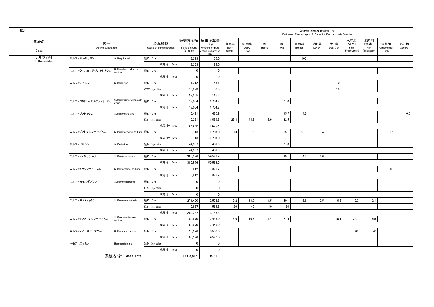| H <sub>23</sub> |                       |                        |                                           |                                 |                                    |                                                                   |                       |                     |            |          |                | 対象動物別推定割合 (%) | Estimated Percentages of Sales for Each Animals Species |                                   |                                   |                           |               |
|-----------------|-----------------------|------------------------|-------------------------------------------|---------------------------------|------------------------------------|-------------------------------------------------------------------|-----------------------|---------------------|------------|----------|----------------|---------------|---------------------------------------------------------|-----------------------------------|-----------------------------------|---------------------------|---------------|
|                 | 系統名<br>Class          | 区分<br>Active substance |                                           | 投与経路<br>Route of administration | (千円)<br>Sales amount<br>$(*1,000)$ | 販売高金額 原末換算量<br>(Kg)<br>Amount of pure<br>active substance<br>(Kg) | 肉用牛<br>Beef<br>Cattle | 乳用牛<br>Dairy<br>Cow | 馬<br>Horse | 豚<br>Pig | 肉用鶏<br>Broiler | 採卵鶏<br>Layer  | 犬・猫<br>$\mathsf{Dog}/\mathsf{Cat}$                      | 水産用<br>(淡水)<br>Fish<br>Freshwater | 水産用<br>(海水)<br>Fish<br>(Seawater) | 観賞魚<br>Ornamental<br>Fish | その他<br>Others |
|                 | サルファ剤<br>Sulfonamides | スルファキノキサリン             | Sulfaquinoxalin                           | 経口 Oral                         | 8,223                              | 165.0                                                             |                       |                     |            |          | 100            |               |                                                         |                                   |                                   |                           |               |
|                 |                       |                        |                                           | 成分·計 Total                      | 8,223                              | 165.0                                                             |                       |                     |            |          |                |               |                                                         |                                   |                                   |                           |               |
|                 |                       | スルファクロルピリダジンナトリウム      | Sulfachlorpyridazine<br>sodium            | 経口 Oral                         | $\overline{\mathbf{0}}$            | $\overline{\mathbf{0}}$                                           |                       |                     |            |          |                |               |                                                         |                                   |                                   |                           |               |
|                 |                       |                        |                                           | 成分·計 Total                      | $\overline{\mathbf{0}}$            | $\overline{\mathbf{0}}$                                           |                       |                     |            |          |                |               |                                                         |                                   |                                   |                           |               |
|                 |                       | スルファジアジン               | Sulfadiazine                              | 経口 Oral                         | 11,312                             | 65.1                                                              |                       |                     |            |          |                |               | 100                                                     |                                   |                                   |                           |               |
|                 |                       |                        |                                           | 注射 Injection                    | 16,023                             | 50.8                                                              |                       |                     |            |          |                |               | 100                                                     |                                   |                                   |                           |               |
|                 |                       |                        |                                           | 成分·計 Total                      | 27,335                             | 115.9                                                             |                       |                     |            |          |                |               |                                                         |                                   |                                   |                           |               |
|                 |                       | スルファジミジン(スルファメサジン)     | Sulfadimidine(Sulfameth 経口 Oral<br>azine) |                                 | 17,004                             | 1,704.8                                                           |                       |                     |            | 100      |                |               |                                                         |                                   |                                   |                           |               |
|                 |                       |                        |                                           | 成分·計 Total                      | 17,004                             | 1,704.8                                                           |                       |                     |            |          |                |               |                                                         |                                   |                                   |                           |               |
|                 |                       | スルファジメトキシン             | Sulfadimethoxine                          | 経口 Oral                         | 5,421                              | 480.9                                                             |                       |                     |            | 95.7     | 4.2            |               |                                                         |                                   |                                   |                           | 0.01          |
|                 |                       |                        |                                           | 注射 Injection                    | 19,231                             | 1,089.5                                                           | 25.8                  | 44.8                | 6.9        | 22.5     |                |               |                                                         |                                   |                                   |                           |               |
|                 |                       |                        |                                           | 成分·計 Total                      | 24,652                             | 1,570.4                                                           |                       |                     |            |          |                |               |                                                         |                                   |                                   |                           |               |
|                 |                       | スルファジメトキシンナトリウム        |                                           |                                 | 18,713                             | 1,707.0                                                           | 0.3                   | 1.3                 |            | 15.1     | 68.3           | 13.4          |                                                         |                                   |                                   | 1.5                       |               |
|                 |                       |                        |                                           | 成分·計 Total                      | 18,713                             | 1,707.0                                                           |                       |                     |            |          |                |               |                                                         |                                   |                                   |                           |               |
|                 |                       | スルファドキシン               | Sulfadoxine                               | 注射 Injection                    | 44.597                             | 401.3                                                             |                       |                     |            | 100      |                |               |                                                         |                                   |                                   |                           |               |
|                 |                       |                        |                                           | 成分·計 Total                      | 44,597                             | 401.3                                                             |                       |                     |            |          |                |               |                                                         |                                   |                                   |                           |               |
|                 |                       | スルファメトキサゾール            | Sulfamethoxazole                          | 経口 Oral                         | 380,576                            | 59,586.9                                                          |                       |                     |            | 89.1     | 4.3            | 6.6           |                                                         |                                   |                                   |                           |               |
|                 |                       |                        |                                           | 成分·計 Total                      | 380,576                            | 59,586.9                                                          |                       |                     |            |          |                |               |                                                         |                                   |                                   |                           |               |
|                 |                       | スルファメラジンナトリウム          | Sulfamerazine sodium                      | 経口 Oral                         | 19,612                             | 376.2                                                             |                       |                     |            |          |                |               |                                                         |                                   |                                   | 100                       |               |
|                 |                       |                        |                                           | 成分·計 Total                      | 19,612                             | 376.2                                                             |                       |                     |            |          |                |               |                                                         |                                   |                                   |                           |               |
|                 |                       | スルファモイルダプソン            | SulfamoyIdapsone                          | 経口 Oral                         | $\mathbf 0$                        | $\mathbf 0$                                                       |                       |                     |            |          |                |               |                                                         |                                   |                                   |                           |               |
|                 |                       |                        |                                           | 注射 Injection                    | $\overline{\mathbf{0}}$            | $\overline{\mathbf{0}}$                                           |                       |                     |            |          |                |               |                                                         |                                   |                                   |                           |               |
|                 |                       |                        |                                           | 成分·計 Total                      | $\mathbf 0$                        | $\mathbf 0$                                                       |                       |                     |            |          |                |               |                                                         |                                   |                                   |                           |               |
|                 |                       | スルファモノメトキシン            | Sulfamonomethoxin                         | 経口 Oral                         | 271,490                            | 12,572.5                                                          | 19.2                  | 18.0                | 1.5        | 40.1     | 6.6            | 2.5           | 0.6                                                     | 9.3                               | 2.1                               |                           |               |
|                 |                       |                        |                                           | 注射 Injection                    | 10,867                             | 585.8                                                             | 20                    | 40                  | 10         | 30       |                |               |                                                         |                                   |                                   |                           |               |
|                 |                       |                        |                                           | 成分·計 Total                      | 282,357                            | 13,158.3                                                          |                       |                     |            |          |                |               |                                                         |                                   |                                   |                           |               |
|                 |                       | スルファモノメトキシンナトリウム       | Sulfarnomethoxine<br>sodium               | 経口 Oral                         | 89,970                             | 17,445.0                                                          | 16.6                  | 16.6                | 1.4        | 27.5     |                |               | 10.1                                                    | 22.1                              | 5.5                               |                           |               |
|                 |                       |                        |                                           | 成分·計 Total                      | 89,970                             | 17,445.0                                                          |                       |                     |            |          |                |               |                                                         |                                   |                                   |                           |               |
|                 |                       | スルフィソゾールナトリウム          | Sulfisozole Sodium                        | 経口 Oral                         | 90,376                             | 9,580.0                                                           |                       |                     |            |          |                |               |                                                         | 80                                | 20                                |                           |               |
|                 |                       |                        |                                           | 成分·計 Total                      | 90,376                             | 9,580.0                                                           |                       |                     |            |          |                |               |                                                         |                                   |                                   |                           |               |
|                 |                       | ホモスルファミン               | Homosulfamine                             | 注射 Injection                    | $\overline{\mathbf{0}}$            | $\mathbf 0$                                                       |                       |                     |            |          |                |               |                                                         |                                   |                                   |                           |               |
|                 |                       |                        |                                           | 成分·計 Total                      | $\mathbf{0}$                       | $\mathbf{0}$                                                      |                       |                     |            |          |                |               |                                                         |                                   |                                   |                           |               |
|                 |                       |                        | 系統名·計 Class Total                         |                                 | 1.003.415                          | 105.811                                                           |                       |                     |            |          |                |               |                                                         |                                   |                                   |                           |               |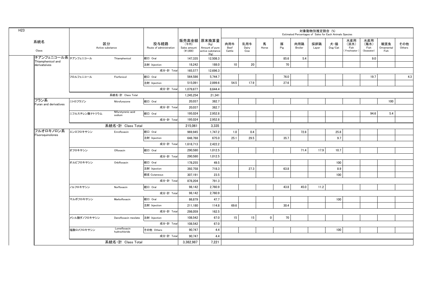| H <sub>23</sub> |                                           |               |                               |                                 |                                  |                                                                   |                       |                     |             |          | Estimated Percentages of Sales for Each Animals Species | 対象動物別推定割合 (%) |                |                                    |                                   |                           |               |
|-----------------|-------------------------------------------|---------------|-------------------------------|---------------------------------|----------------------------------|-------------------------------------------------------------------|-----------------------|---------------------|-------------|----------|---------------------------------------------------------|---------------|----------------|------------------------------------|-----------------------------------|---------------------------|---------------|
|                 | 系統名<br>Class                              |               | 区分<br>Active substance        | 投与経路<br>Route of administration | (千円)<br>Sales amount<br>(41,000) | 販売高金額 原末換算量<br>(Kg)<br>Amount of pure<br>active substance<br>(Kg) | 肉用牛<br>Beef<br>Cattle | 乳用牛<br>Dairy<br>Cow | 馬<br>Horse  | 豚<br>Pig | 肉用鶏<br>Broiler                                          | 採卵鶏<br>Layer  | 犬・猫<br>Dog/Cat | 水産用<br>(淡水)<br>Fish<br>(Freshwater | 水産用<br>(海水)<br>Fish<br>(Seawater) | 観賞魚<br>Ornamental<br>Fish | その他<br>Others |
|                 | チアンフェニコール系 チアンフェニコール<br>Thiamphenicol and |               | Thiamphenicol                 | 経口 Oral                         | 147,335                          | 12,508.3                                                          |                       |                     |             | 85.6     | 5.4                                                     |               |                |                                    | 9.0                               |                           |               |
|                 | derivateives                              |               |                               | 注射 Injection                    | 18.242                           | 188.0                                                             | 10                    | 20                  |             | 70       |                                                         |               |                |                                    |                                   |                           |               |
|                 |                                           |               |                               | 成分·計 Total                      | 165,577                          | 12,696.3                                                          |                       |                     |             |          |                                                         |               |                |                                    |                                   |                           |               |
|                 |                                           | フロルフェニコール     | Florfenicol                   | 経口 Oral                         | 564,586                          | 5,744.7                                                           |                       |                     |             | 76.0     |                                                         |               |                |                                    | 19.7                              |                           | 4.3           |
|                 |                                           |               |                               | 注射 Injection                    | 515.091                          | 2.899.6                                                           | 54.5                  | 17.9                |             | 27.6     |                                                         |               |                |                                    |                                   |                           |               |
|                 |                                           |               |                               | 成分·計 Total                      | 1,079,677                        | 8,644.4                                                           |                       |                     |             |          |                                                         |               |                |                                    |                                   |                           |               |
|                 |                                           |               | 系統名·計 Class Total             |                                 | 1,245,254                        | 21,341                                                            |                       |                     |             |          |                                                         |               |                |                                    |                                   |                           |               |
|                 | フラン系<br>Furan and derivatives             | ニトロフラゾン       | Nitrofurazone                 | 経口 Oral                         | 20,037                           | 382.7                                                             |                       |                     |             |          |                                                         |               |                |                                    |                                   | 100                       |               |
|                 |                                           |               |                               | 成分·計 Total                      | 20.037                           | 382.7                                                             |                       |                     |             |          |                                                         |               |                |                                    |                                   |                           |               |
|                 |                                           | ニフルスチレン酸ナトリウム | Nifurstyrenic acid<br>sodium  | 経口 Oral                         | 195,024                          | 2,952.8                                                           |                       |                     |             |          |                                                         |               |                |                                    | 94.6                              | 5.4                       |               |
|                 |                                           |               |                               | 成分·計 Total                      | 195,024                          | 2,952.8                                                           |                       |                     |             |          |                                                         |               |                |                                    |                                   |                           |               |
|                 |                                           |               | 系統名·計 Class Total             |                                 | 215,061                          | 3,335                                                             |                       |                     |             |          |                                                         |               |                |                                    |                                   |                           |               |
|                 | フルオロキノロン系<br>Fluoroquinolones             | エンロフロキサシン     | Enrofloxacin                  | 経口 Oral                         | 969,945                          | 1.747.2                                                           | 1.0                   | 0.4                 |             |          | 72.8                                                    |               | 25.8           |                                    |                                   |                           |               |
|                 |                                           |               |                               | 注射 Injection                    | 648,768                          | 675.0                                                             | 25.1                  | 29.5                |             | 35.7     |                                                         |               | 9.7            |                                    |                                   |                           |               |
|                 |                                           |               |                               | 成分·計 Total                      | 1,618,713                        | 2,422.2                                                           |                       |                     |             |          |                                                         |               |                |                                    |                                   |                           |               |
|                 |                                           | オフロキサシン       | Ofloxacin                     | 経口 Oral                         | 290.580                          | 1.012.5                                                           |                       |                     |             |          | 71.4                                                    | 17.9          | 10.7           |                                    |                                   |                           |               |
|                 |                                           |               |                               | 成分·計 Total                      | 290,580                          | 1,012.5                                                           |                       |                     |             |          |                                                         |               |                |                                    |                                   |                           |               |
|                 |                                           | オルビフロキサシン     | Orbifloxacin                  | 経口 Oral                         | 178,255                          | 49.5                                                              |                       |                     |             |          |                                                         |               | 100            |                                    |                                   |                           |               |
|                 |                                           |               |                               | 注射 Injection                    | 392,758                          | 718.3                                                             |                       | 27.3                |             | 63.8     |                                                         |               | 8.9            |                                    |                                   |                           |               |
|                 |                                           |               |                               | 経皮 Cutaneous                    | 307,191                          | 23.5                                                              |                       |                     |             |          |                                                         |               | 100            |                                    |                                   |                           |               |
|                 |                                           |               |                               | 成分·計 Total                      | 878,204                          | 791.3                                                             |                       |                     |             |          |                                                         |               |                |                                    |                                   |                           |               |
|                 |                                           | ノルフロキサシン      | Norfloxacin                   | 経口 Oral                         | 98,142                           | 2,760.9                                                           |                       |                     |             | 43.8     | 45.0                                                    | 11.2          |                |                                    |                                   |                           |               |
|                 |                                           |               |                               | 成分·計 Total                      | 98,142                           | 2,760.9                                                           |                       |                     |             |          |                                                         |               |                |                                    |                                   |                           |               |
|                 |                                           | マルボフロキサシン     | Marbofloxacin                 | 経口 Oral                         | 86,879                           | 47.7                                                              |                       |                     |             |          |                                                         |               | 100            |                                    |                                   |                           |               |
|                 |                                           |               |                               | 注射 Injection                    | 211,180                          | 114.8                                                             | 69.6                  |                     |             | 30.4     |                                                         |               |                |                                    |                                   |                           |               |
|                 |                                           |               |                               | 成分·計 Total                      | 298,059                          | 162.5                                                             |                       |                     |             |          |                                                         |               |                |                                    |                                   |                           |               |
|                 |                                           | メシル酸ダノフロキサシン  | Danofloxacin mesilate         | 注射 Injection                    | 108.542                          | 67.0                                                              | 15                    | 15                  | $\mathbf 0$ | 70       |                                                         |               |                |                                    |                                   |                           |               |
|                 |                                           |               |                               | 成分·計 Total                      | 108.542                          | 67.0                                                              |                       |                     |             |          |                                                         |               |                |                                    |                                   |                           |               |
|                 |                                           | 塩酸ロメフロキサシン    | Lomefloxacin<br>hydrochloride | その他 Others                      | 90,747                           | 4.4                                                               |                       |                     |             |          |                                                         |               | 100            |                                    |                                   |                           |               |
|                 |                                           |               |                               | 成分·計 Total                      | 90,747                           | 4.4                                                               |                       |                     |             |          |                                                         |               |                |                                    |                                   |                           |               |
|                 |                                           |               | 系統名·計 Class Total             |                                 | 3,382,987                        | 7,221                                                             |                       |                     |             |          |                                                         |               |                |                                    |                                   |                           |               |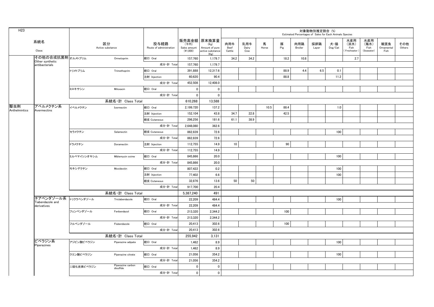| H <sub>23</sub>      |                                                 |             |                                |                                 |                                    |                                                                   |                       |                     |            |          |                | 対象動物別推定割合 (%)<br>Estimated Percentages of Sales for Each Animals Species |                                    |                                     |                                   |                           |               |
|----------------------|-------------------------------------------------|-------------|--------------------------------|---------------------------------|------------------------------------|-------------------------------------------------------------------|-----------------------|---------------------|------------|----------|----------------|--------------------------------------------------------------------------|------------------------------------|-------------------------------------|-----------------------------------|---------------------------|---------------|
|                      | 系統名<br>Class                                    |             | 区分<br>Active substance         | 投与経路<br>Route of administration | (千円)<br>Sales amount<br>$(*1,000)$ | 販売高金額 原末換算量<br>(Kg)<br>Amount of pure<br>active substance<br>(Kg) | 肉用牛<br>Beef<br>Cattle | 乳用牛<br>Dairy<br>Cow | 馬<br>Horse | 豚<br>Pig | 肉用鶏<br>Broiler | 採卵鶏<br>Layer                                                             | 犬・猫<br>$\mathsf{Dog}/\mathsf{Cat}$ | 水産用<br>(淡水)<br>Fish<br>(Freshwater) | 水産用<br>(海水)<br>Fish<br>(Seawater) | 観賞魚<br>Ornamental<br>Fish | その他<br>Others |
|                      | その他の合成抗菌剤 <sub>オルメトプリム</sub><br>Other synthetic |             | Ormetoprim                     | 経口 Oral                         | 157,760                            | 1,179.7                                                           | 34.2                  | 34.2                |            | 18.2     | 10.8           |                                                                          |                                    | 2.7                                 |                                   |                           |               |
|                      | antibacterials                                  |             |                                | 成分·計 Total                      | 157,760                            | 1,179.7                                                           |                       |                     |            |          |                |                                                                          |                                    |                                     |                                   |                           |               |
|                      |                                                 | トリメトプリム     | Trimethoprim                   | 経口 Oral                         | 391.888                            | 12.317.6                                                          |                       |                     |            | 88.9     | 4.4            | 6.5                                                                      | 0.1                                |                                     |                                   |                           |               |
|                      |                                                 |             |                                | 注射 Injection                    | 60,620                             | 90.4                                                              |                       |                     |            | 88.8     |                |                                                                          | 11.2                               |                                     |                                   |                           |               |
|                      |                                                 |             |                                | 成分·計 Total                      | 452,508                            | 12,408.0                                                          |                       |                     |            |          |                |                                                                          |                                    |                                     |                                   |                           |               |
|                      |                                                 | ミロキサシン      | Miloxacin                      | 経口 Oral                         | $\mathbf 0$                        | $\overline{\mathbf{0}}$                                           |                       |                     |            |          |                |                                                                          |                                    |                                     |                                   |                           |               |
|                      |                                                 |             |                                | 成分·計 Total                      | $\mathbf 0$                        | $\overline{\mathbf{0}}$                                           |                       |                     |            |          |                |                                                                          |                                    |                                     |                                   |                           |               |
|                      |                                                 |             | 系統名·計 Class Total              |                                 | 610,268                            | 13,588                                                            |                       |                     |            |          |                |                                                                          |                                    |                                     |                                   |                           |               |
| 駆虫剤<br>Anthelmintics | アベルメクチン系<br>Avermectins                         | イベルメクチン     | Ivermectin                     | 経口 Oral                         | 2,199,720                          | 137.2                                                             |                       |                     | 10.5       | 88.4     |                |                                                                          | 1.0                                |                                     |                                   |                           |               |
|                      |                                                 |             |                                | 注射 Injection                    | 152,104                            | 43.8                                                              | 34.7                  | 22.8                |            | 42.5     |                |                                                                          |                                    |                                     |                                   |                           |               |
|                      |                                                 |             |                                | 経皮 Cutaneous                    | 296,256                            | 181.6                                                             | 61.1                  | 38.9                |            |          |                |                                                                          |                                    |                                     |                                   |                           |               |
|                      |                                                 |             |                                | 成分·計 Total                      | 2,648,080                          | 362.6                                                             |                       |                     |            |          |                |                                                                          |                                    |                                     |                                   |                           |               |
|                      |                                                 | セラメクチン      | Selamectin                     | 経皮 Cutaneous                    | 862,839                            | 72.6                                                              |                       |                     |            |          |                |                                                                          | 100                                |                                     |                                   |                           |               |
|                      |                                                 |             |                                | 成分·計 Total                      | 862,839                            | 72.6                                                              |                       |                     |            |          |                |                                                                          |                                    |                                     |                                   |                           |               |
|                      |                                                 | ドラメクチン      | Doramectin                     | 注射 Injection                    | 112,755                            | 14.9                                                              | 10                    |                     |            | 90       |                |                                                                          |                                    |                                     |                                   |                           |               |
|                      |                                                 |             |                                | 成分·計 Total                      | 112,755                            | 14.9                                                              |                       |                     |            |          |                |                                                                          |                                    |                                     |                                   |                           |               |
|                      |                                                 | ミルベマイシンオキシム | Miblemycin oxime               | 経口 Oral                         | 845.866                            | 20.0                                                              |                       |                     |            |          |                |                                                                          | 100                                |                                     |                                   |                           |               |
|                      |                                                 |             |                                | 成分·計 Total                      | 845,866                            | 20.0                                                              |                       |                     |            |          |                |                                                                          |                                    |                                     |                                   |                           |               |
|                      |                                                 | モキシデクチン     | Moxidectin                     | 経口 Oral                         | 807,422                            | 0.2                                                               |                       |                     |            |          |                |                                                                          | 100                                |                                     |                                   |                           |               |
|                      |                                                 |             |                                | 注射 Injection                    | 77.402                             | 6.6                                                               |                       |                     |            |          |                |                                                                          | 100                                |                                     |                                   |                           |               |
|                      |                                                 |             |                                | 経皮 Cutaneous                    | 32,876                             | 13.6                                                              | 50                    | 50                  |            |          |                |                                                                          |                                    |                                     |                                   |                           |               |
|                      |                                                 |             |                                | 成分·計 Total                      | 917,700                            | 20.4                                                              |                       |                     |            |          |                |                                                                          |                                    |                                     |                                   |                           |               |
|                      |                                                 |             | 系統名·計 Class Total              |                                 | 5,387,240                          | 491                                                               |                       |                     |            |          |                |                                                                          |                                    |                                     |                                   |                           |               |
|                      | チアベンダゾール系 トリクラベンダゾール<br>Tiabendazole and        |             | Triclabendazole                | 経口 Oral                         | 22.209                             | 484.4                                                             |                       |                     |            |          |                |                                                                          | 100                                |                                     |                                   |                           |               |
|                      | derivatives                                     |             |                                | 成分·計 Total                      | 22,209                             | 484.4                                                             |                       |                     |            |          |                |                                                                          |                                    |                                     |                                   |                           |               |
|                      |                                                 | フェンベンダゾール   | Fenbendazol                    | 経口 Oral                         | 213,320                            | 2,344.2                                                           |                       |                     |            | 100      |                |                                                                          |                                    |                                     |                                   |                           |               |
|                      |                                                 |             |                                | 成分·計 Total                      | 213,320                            | 2,344.2                                                           |                       |                     |            |          |                |                                                                          |                                    |                                     |                                   |                           |               |
|                      |                                                 | フルベンダゾール    | Flubendazole                   | 経口 Oral                         | 20,413                             | 302.6                                                             |                       |                     |            | 100      |                |                                                                          |                                    |                                     |                                   |                           |               |
|                      |                                                 |             |                                | 成分·計 Total                      | 20,413                             | 302.6                                                             |                       |                     |            |          |                |                                                                          |                                    |                                     |                                   |                           |               |
|                      |                                                 |             | 系統名·計 Class Total              |                                 | 255,942                            | 3,131                                                             |                       |                     |            |          |                |                                                                          |                                    |                                     |                                   |                           |               |
|                      | ピペラジン系                                          | アジピン酸ピペラジン  | Piperazine adipate             | 経口 Oral                         | 1,462                              | 8.9                                                               |                       |                     |            |          |                |                                                                          | 100                                |                                     |                                   |                           |               |
|                      | Piperazines                                     |             |                                | 成分·計 Total                      | 1,462                              | 8.9                                                               |                       |                     |            |          |                |                                                                          |                                    |                                     |                                   |                           |               |
|                      |                                                 | クエン酸ピペラジン   | Piperazine citrate             | 経口 Oral                         | 21,056                             | 354.2                                                             |                       |                     |            |          |                |                                                                          | 100                                |                                     |                                   |                           |               |
|                      |                                                 |             |                                | 成分·計 Total                      | 21,056                             | 354.2                                                             |                       |                     |            |          |                |                                                                          |                                    |                                     |                                   |                           |               |
|                      |                                                 | 二硫化炭素ピペラジン  | Piperazine carbon<br>disulfide | 経口 Oral                         | $\mathbf 0$                        | $\overline{\mathbf{0}}$                                           |                       |                     |            |          |                |                                                                          |                                    |                                     |                                   |                           |               |
|                      |                                                 |             |                                | 成分·計 Total                      | $\mathbf 0$                        | 0                                                                 |                       |                     |            |          |                |                                                                          |                                    |                                     |                                   |                           |               |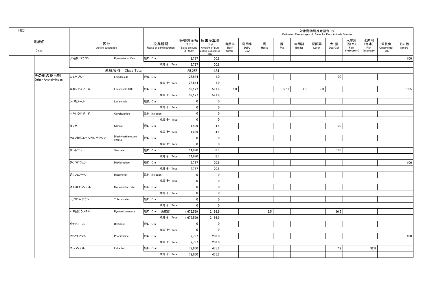| H <sub>23</sub> |                            |                        |                               |                                 |                                  |                                                           |                       |                     |            |          |                | 対象動物別推定割合 (%) | Estimated Percentages of Sales for Each Animals Species |                                     |                                   |                           |               |
|-----------------|----------------------------|------------------------|-------------------------------|---------------------------------|----------------------------------|-----------------------------------------------------------|-----------------------|---------------------|------------|----------|----------------|---------------|---------------------------------------------------------|-------------------------------------|-----------------------------------|---------------------------|---------------|
|                 | 系統名<br>Class               | 区分<br>Active substance |                               | 投与経路<br>Route of administration | (千円)<br>Sales amount<br>(41,000) | 販売高金額 原末換算量<br>(Kg)<br>Amount of pure<br>active substance | 肉用牛<br>Beef<br>Cattle | 乳用牛<br>Dairy<br>Cow | 馬<br>Horse | 豚<br>Pig | 肉用鶏<br>Broiler | 採卵鶏<br>Layer  | 犬・猫<br>Dog/Cat                                          | 水産用<br>(淡水)<br>Fish<br>(Freshwater) | 水産用<br>(海水)<br>Fish<br>(Seawater) | 観賞魚<br>Ornamental<br>Fish | その他<br>Others |
|                 |                            | リン酸ピペラジン               | Piperazine sulfate            | 経口 Oral                         | 2,737                            | (Kg)<br>70.8                                              |                       |                     |            |          |                |               |                                                         |                                     |                                   |                           | 100           |
|                 |                            |                        |                               | 成分·計 Total                      | 2,737                            | 70.8                                                      |                       |                     |            |          |                |               |                                                         |                                     |                                   |                           |               |
|                 |                            |                        | 系統名·計 Class Total             |                                 | 25,255                           | 434                                                       |                       |                     |            |          |                |               |                                                         |                                     |                                   |                           |               |
|                 | その他の駆虫剤                    | エモデプシド                 | Emodepside                    | 経皮 Oral                         | 28.644                           | 1.0                                                       |                       |                     |            |          |                |               | 100                                                     |                                     |                                   |                           |               |
|                 | <b>Other Anthelmintics</b> |                        |                               | 成分·計 Total                      | 28,644                           | 1.0                                                       |                       |                     |            |          |                |               |                                                         |                                     |                                   |                           |               |
|                 |                            | 塩酸レバミゾール               | Levamisole HCI                | 経口 Oral                         | 39,177                           | 591.8                                                     | 9.8                   |                     |            | 57.1     | 7.3            | 7.3           |                                                         |                                     |                                   |                           | 18.5          |
|                 |                            |                        |                               | 成分·計 Total                      | 39,177                           | 591.8                                                     |                       |                     |            |          |                |               |                                                         |                                     |                                   |                           |               |
|                 |                            | レバミゾール                 | Levamisole                    | 経皮 Oral                         | $\mathbf 0$                      | $\mathbf 0$                                               |                       |                     |            |          |                |               |                                                         |                                     |                                   |                           |               |
|                 |                            |                        |                               | 成分·計 Total                      | $\overline{0}$                   | $\mathbf 0$                                               |                       |                     |            |          |                |               |                                                         |                                     |                                   |                           |               |
|                 |                            | オキシクロザニド               | Oxyclozanide                  | 注射 Injection                    | $\overline{0}$                   | $\mathbf 0$                                               |                       |                     |            |          |                |               |                                                         |                                     |                                   |                           |               |
|                 |                            |                        |                               | 成分·計 Total                      | $\mathbf 0$                      | $\mathbf 0$                                               |                       |                     |            |          |                |               |                                                         |                                     |                                   |                           |               |
|                 |                            | カマラ                    | Kamala                        | 経口 Oral                         | 1,499                            | 4.5                                                       |                       |                     |            |          |                |               | 100                                                     |                                     |                                   |                           |               |
|                 |                            |                        |                               | 成分·計 Total                      | 1,499                            | 4.5                                                       |                       |                     |            |          |                |               |                                                         |                                     |                                   |                           |               |
|                 |                            | クエン酸ジエチルカルバマジン         | Diethylcarbamazine<br>citrate | 経口 Oral                         | $\mathbf 0$                      | $\mathbf 0$                                               |                       |                     |            |          |                |               |                                                         |                                     |                                   |                           |               |
|                 |                            |                        |                               | 成分·計 Total                      | $\mathbf 0$                      | $\mathbf 0$                                               |                       |                     |            |          |                |               |                                                         |                                     |                                   |                           |               |
|                 |                            | サントニン                  | Santonin                      | 経口 Oral                         | 14,890                           | 8.3                                                       |                       |                     |            |          |                |               | 100                                                     |                                     |                                   |                           |               |
|                 |                            |                        |                               | 成分·計 Total                      | 14,890                           | 8.3                                                       |                       |                     |            |          |                |               |                                                         |                                     |                                   |                           |               |
|                 |                            | ジクロロフェン                | Dichlorophen                  | 経口 Oral                         | 2,737                            | 70.8                                                      |                       |                     |            |          |                |               |                                                         |                                     |                                   |                           | 100           |
|                 |                            |                        |                               | 成分·計 Total                      | 2,737                            | 70.8                                                      |                       |                     |            |          |                |               |                                                         |                                     |                                   |                           |               |
|                 |                            | ジソフェノール                | Disophenol                    | 注射 Injection                    | $\mathbf 0$                      | $\mathbf{0}$                                              |                       |                     |            |          |                |               |                                                         |                                     |                                   |                           |               |
|                 |                            |                        |                               | 成分·計 Total                      | $\pmb{0}$                        | $\mathbf 0$                                               |                       |                     |            |          |                |               |                                                         |                                     |                                   |                           |               |
|                 |                            | 酒石酸モランテル               | Morantel tartrate             | 経口 Oral                         | $\mathbf 0$                      | $\mathbf 0$                                               |                       |                     |            |          |                |               |                                                         |                                     |                                   |                           |               |
|                 |                            |                        |                               | 成分·計 Total                      | $\pmb{0}$                        | $\mathbf 0$                                               |                       |                     |            |          |                |               |                                                         |                                     |                                   |                           |               |
|                 |                            | トリブロムサラン               | Tribromsalan                  | 経口 Oral                         | $\mathbf 0$                      | $\pmb{0}$                                                 |                       |                     |            |          |                |               |                                                         |                                     |                                   |                           |               |
|                 |                            |                        |                               | 成分·計 Total                      | $\pmb{0}$                        | $\mathbf 0$                                               |                       |                     |            |          |                |               |                                                         |                                     |                                   |                           |               |
|                 |                            | パモ酸ピランテル               | Pyrantel pamoate              | 経口 Oral 要確認                     | 1,672,599                        | 2,186.9                                                   |                       |                     | 3.5        |          |                |               | 96.5                                                    |                                     |                                   |                           |               |
|                 |                            |                        |                               | 成分·計 Total                      | 1,672,599                        | 2,186.9                                                   |                       |                     |            |          |                |               |                                                         |                                     |                                   |                           |               |
|                 |                            | ビチオノール                 | Bithionol                     | 経口 Oral                         | $\mathbf 0$                      | 0                                                         |                       |                     |            |          |                |               |                                                         |                                     |                                   |                           |               |
|                 |                            |                        |                               | 成分·計 Total                      | $\pmb{0}$                        | $\overline{0}$                                            |                       |                     |            |          |                |               |                                                         |                                     |                                   |                           |               |
|                 |                            | フェノチアジン                | Phenithizine                  | 経口 Oral                         | 2,737                            | 203.0                                                     |                       |                     |            |          |                |               |                                                         |                                     |                                   |                           | 100           |
|                 |                            |                        |                               | 成分·計 Total                      | 2,737                            | 203.0                                                     |                       |                     |            |          |                |               |                                                         |                                     |                                   |                           |               |
|                 |                            | フェバンテル                 | Febantel                      | 経口 Oral                         | 79,660                           | 475.6                                                     |                       |                     |            |          |                |               | 7.2                                                     |                                     | 92.8                              |                           |               |
|                 |                            |                        |                               | 成分·計 Total                      | 79,660                           | 475.6                                                     |                       |                     |            |          |                |               |                                                         |                                     |                                   |                           |               |